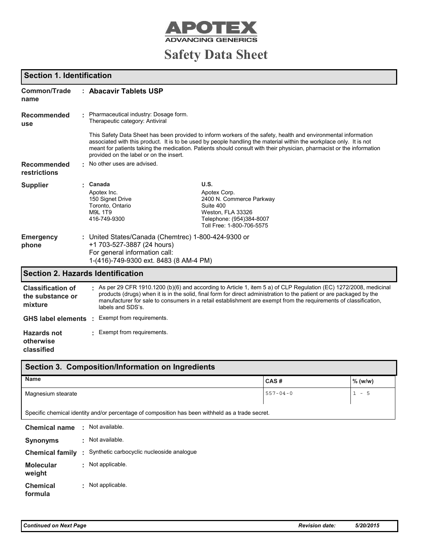

# **Safety Data Sheet**

## **Section 1. Identification**

| <b>Common/Trade</b><br>name                             | : Abacavir Tablets USP                                                                                                                                     |                                                                                                                                                                                                                                                                                                                                                                    |                |         |  |
|---------------------------------------------------------|------------------------------------------------------------------------------------------------------------------------------------------------------------|--------------------------------------------------------------------------------------------------------------------------------------------------------------------------------------------------------------------------------------------------------------------------------------------------------------------------------------------------------------------|----------------|---------|--|
| <b>Recommended</b><br><b>use</b>                        | Pharmaceutical industry: Dosage form.<br>Therapeutic category: Antiviral                                                                                   |                                                                                                                                                                                                                                                                                                                                                                    |                |         |  |
|                                                         | provided on the label or on the insert.                                                                                                                    | This Safety Data Sheet has been provided to inform workers of the safety, health and environmental information<br>associated with this product. It is to be used by people handling the material within the workplace only. It is not<br>meant for patients taking the medication. Patients should consult with their physician, pharmacist or the information     |                |         |  |
| <b>Recommended</b><br>restrictions                      | No other uses are advised.                                                                                                                                 |                                                                                                                                                                                                                                                                                                                                                                    |                |         |  |
| <b>Supplier</b>                                         | Canada                                                                                                                                                     | U.S.                                                                                                                                                                                                                                                                                                                                                               |                |         |  |
|                                                         | Apotex Inc.<br>150 Signet Drive<br>Toronto, Ontario<br>M9L 1T9<br>416-749-9300                                                                             | Apotex Corp.<br>2400 N. Commerce Parkway<br>Suite 400<br>Weston, FLA 33326<br>Telephone: (954)384-8007<br>Toll Free: 1-800-706-5575                                                                                                                                                                                                                                |                |         |  |
| <b>Emergency</b><br>phone                               | United States/Canada (Chemtrec) 1-800-424-9300 or<br>+1 703-527-3887 (24 hours)<br>For general information call:<br>1-(416)-749-9300 ext. 8483 (8 AM-4 PM) |                                                                                                                                                                                                                                                                                                                                                                    |                |         |  |
|                                                         | <b>Section 2. Hazards Identification</b>                                                                                                                   |                                                                                                                                                                                                                                                                                                                                                                    |                |         |  |
| <b>Classification of</b><br>the substance or<br>mixture | labels and SDS's.                                                                                                                                          | $\pm$ As per 29 CFR 1910.1200 (b)(6) and according to Article 1, item 5 a) of CLP Regulation (EC) 1272/2008, medicinal<br>products (drugs) when it is in the solid, final form for direct administration to the patient or are packaged by the<br>manufacturer for sale to consumers in a retail establishment are exempt from the requirements of classification, |                |         |  |
| GHS label elements :                                    | Exempt from requirements.                                                                                                                                  |                                                                                                                                                                                                                                                                                                                                                                    |                |         |  |
| <b>Hazards not</b><br>otherwise<br>classified           | Exempt from requirements.                                                                                                                                  |                                                                                                                                                                                                                                                                                                                                                                    |                |         |  |
|                                                         | Section 3. Composition/Information on Ingredients                                                                                                          |                                                                                                                                                                                                                                                                                                                                                                    |                |         |  |
| <b>Name</b>                                             |                                                                                                                                                            |                                                                                                                                                                                                                                                                                                                                                                    | CAS#           | % (w/w) |  |
| Magnesium stearate                                      |                                                                                                                                                            |                                                                                                                                                                                                                                                                                                                                                                    | $557 - 04 - 0$ | $1 - 5$ |  |

Specific chemical identity and/or percentage of composition has been withheld as a trade secret.

| <b>Chemical name</b>       | ٠  | Not available.                              |
|----------------------------|----|---------------------------------------------|
| <b>Synonyms</b>            | ÷  | Not available.                              |
| <b>Chemical family</b>     |    | : Synthetic carbocyclic nucleoside analogue |
| <b>Molecular</b><br>weight | ÷. | Not applicable.                             |
| <b>Chemical</b><br>formula | ÷. | Not applicable.                             |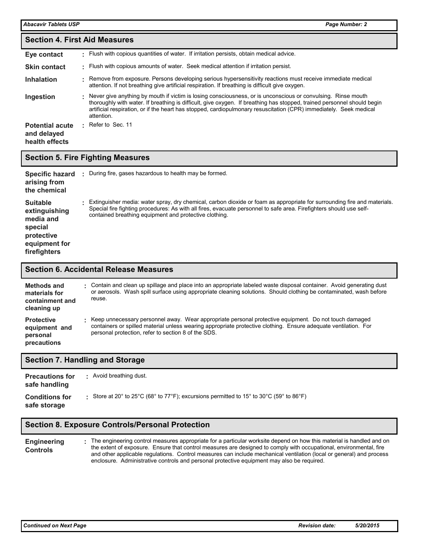| <b>Section 4. First Aid Measures</b>                    |    |                                                                                                                                                                                                                                                                                                                                                                             |  |  |  |  |
|---------------------------------------------------------|----|-----------------------------------------------------------------------------------------------------------------------------------------------------------------------------------------------------------------------------------------------------------------------------------------------------------------------------------------------------------------------------|--|--|--|--|
| Eye contact                                             | ۰. | Flush with copious quantities of water. If irritation persists, obtain medical advice.                                                                                                                                                                                                                                                                                      |  |  |  |  |
| <b>Skin contact</b>                                     |    | . Flush with copious amounts of water. Seek medical attention if irritation persist.                                                                                                                                                                                                                                                                                        |  |  |  |  |
| <b>Inhalation</b>                                       |    | Remove from exposure. Persons developing serious hypersensitivity reactions must receive immediate medical<br>attention. If not breathing give artificial respiration. If breathing is difficult give oxygen.                                                                                                                                                               |  |  |  |  |
| Ingestion                                               |    | Never give anything by mouth if victim is losing consciousness, or is unconscious or convulsing. Rinse mouth<br>thoroughly with water. If breathing is difficult, give oxygen. If breathing has stopped, trained personnel should begin<br>artificial respiration, or if the heart has stopped, cardiopulmonary resuscitation (CPR) immediately. Seek medical<br>attention. |  |  |  |  |
| <b>Potential acute</b><br>and delayed<br>health effects | ÷. | Refer to Sec. 11                                                                                                                                                                                                                                                                                                                                                            |  |  |  |  |

### **Section 5. Fire Fighting Measures**

| <b>Specific hazard</b><br>arising from<br>the chemical                                                  | During fire, gases hazardous to health may be formed.                                                                                                                                                                                                                                                     |
|---------------------------------------------------------------------------------------------------------|-----------------------------------------------------------------------------------------------------------------------------------------------------------------------------------------------------------------------------------------------------------------------------------------------------------|
| <b>Suitable</b><br>extinguishing<br>media and<br>special<br>protective<br>equipment for<br>firefighters | Extinguisher media: water spray, dry chemical, carbon dioxide or foam as appropriate for surrounding fire and materials.<br>Special fire fighting procedures: As with all fires, evacuate personnel to safe area. Firefighters should use self-<br>contained breathing equipment and protective clothing. |

#### **Section 6. Accidental Release Measures**

| Methods and<br>materials for<br>containment and<br>cleaning up | Contain and clean up spillage and place into an appropriate labeled waste disposal container. Avoid generating dust<br>or aerosols. Wash spill surface using appropriate cleaning solutions. Should clothing be contaminated, wash before<br>reuse.                             |
|----------------------------------------------------------------|---------------------------------------------------------------------------------------------------------------------------------------------------------------------------------------------------------------------------------------------------------------------------------|
| <b>Protective</b><br>equipment and<br>personal<br>precautions  | Keep unnecessary personnel away. Wear appropriate personal protective equipment. Do not touch damaged<br>containers or spilled material unless wearing appropriate protective clothing. Ensure adequate ventilation. For<br>personal protection, refer to section 8 of the SDS. |

#### **Section 7. Handling and Storage**

| <b>Precautions for</b><br>safe handling | Avoid breathing dust.                                                                                                                                                     |
|-----------------------------------------|---------------------------------------------------------------------------------------------------------------------------------------------------------------------------|
| <b>Conditions for</b><br>safe storage   | Store at 20 $^{\circ}$ to 25 $^{\circ}$ C (68 $^{\circ}$ to 77 $^{\circ}$ F); excursions permitted to 15 $^{\circ}$ to 30 $^{\circ}$ C (59 $^{\circ}$ to 86 $^{\circ}$ F) |

#### **Section 8. Exposure Controls/Personal Protection**

**Engineering Controls** The engineering control measures appropriate for a particular worksite depend on how this material is handled and on the extent of exposure. Ensure that control measures are designed to comply with occupational, environmental, fire and other applicable regulations. Control measures can include mechanical ventilation (local or general) and process enclosure. Administrative controls and personal protective equipment may also be required. **:**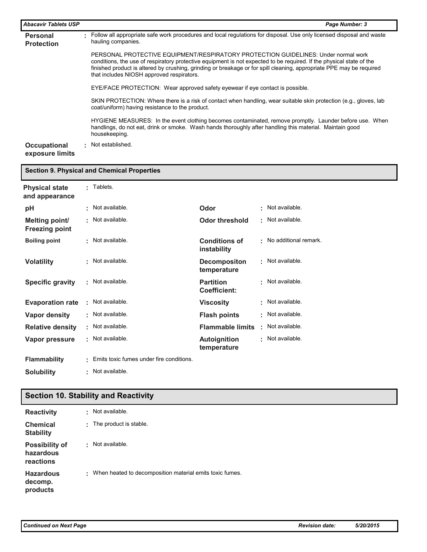| <b>Abacavir Tablets USP</b>          |    | Page Number: 3                                                                                                                                                                                                                                                                                                                                                                  |
|--------------------------------------|----|---------------------------------------------------------------------------------------------------------------------------------------------------------------------------------------------------------------------------------------------------------------------------------------------------------------------------------------------------------------------------------|
| <b>Personal</b><br><b>Protection</b> | л. | Follow all appropriate safe work procedures and local regulations for disposal. Use only licensed disposal and waste<br>hauling companies.                                                                                                                                                                                                                                      |
|                                      |    | PERSONAL PROTECTIVE EQUIPMENT/RESPIRATORY PROTECTION GUIDELINES: Under normal work<br>conditions, the use of respiratory protective equipment is not expected to be required. If the physical state of the<br>finished product is altered by crushing, grinding or breakage or for spill cleaning, appropriate PPE may be reguired<br>that includes NIOSH approved respirators. |
|                                      |    | EYE/FACE PROTECTION: Wear approved safety eyewear if eye contact is possible.                                                                                                                                                                                                                                                                                                   |
|                                      |    | SKIN PROTECTION: Where there is a risk of contact when handling, wear suitable skin protection (e.g., gloves, lab<br>coat/uniform) having resistance to the product.                                                                                                                                                                                                            |
|                                      |    | HYGIENE MEASURES: In the event clothing becomes contaminated, remove promptly. Launder before use. When<br>handlings, do not eat, drink or smoke. Wash hands thoroughly after handling this material. Maintain good<br>housekeeping.                                                                                                                                            |
| Occupational<br>exposure limits      |    | • Not established.                                                                                                                                                                                                                                                                                                                                                              |

|                                                |    | <b>Section 9. Physical and Chemical Properties</b> |                                         |                |                       |
|------------------------------------------------|----|----------------------------------------------------|-----------------------------------------|----------------|-----------------------|
| <b>Physical state</b><br>and appearance        |    | Tablets.                                           |                                         |                |                       |
| pH                                             |    | Not available.                                     | Odor                                    | ŧ.             | Not available.        |
| <b>Melting point/</b><br><b>Freezing point</b> | ٠  | Not available.                                     | <b>Odor threshold</b>                   | ٠              | Not available.        |
| <b>Boiling point</b>                           |    | Not available.                                     | <b>Conditions of</b><br>instability     | $\blacksquare$ | No additional remark. |
| <b>Volatility</b>                              |    | Not available.                                     | <b>Decompositon</b><br>temperature      | ٠              | Not available.        |
| <b>Specific gravity</b>                        | ۰  | Not available.                                     | <b>Partition</b><br><b>Coefficient:</b> | ٠              | Not available.        |
| <b>Evaporation rate</b>                        |    | Not available.                                     | <b>Viscosity</b>                        | ٠              | Not available.        |
| <b>Vapor density</b>                           | t. | Not available.                                     | <b>Flash points</b>                     | ٠              | Not available.        |
| <b>Relative density</b>                        | t. | Not available.                                     | <b>Flammable limits</b>                 | ٠              | Not available.        |
| <b>Vapor pressure</b>                          |    | Not available.                                     | <b>Autoignition</b><br>temperature      | ٠              | Not available.        |
| <b>Flammability</b>                            |    | Emits toxic fumes under fire conditions.           |                                         |                |                       |
| <b>Solubility</b>                              |    | Not available.                                     |                                         |                |                       |

## **Section 10. Stability and Reactivity**

| <b>Reactivity</b>                               | t. | Not available.                                             |
|-------------------------------------------------|----|------------------------------------------------------------|
| <b>Chemical</b><br><b>Stability</b>             | t. | The product is stable.                                     |
| <b>Possibility of</b><br>hazardous<br>reactions | ٠  | Not available.                                             |
| <b>Hazardous</b><br>decomp.<br>products         |    | : When heated to decomposition material emits toxic fumes. |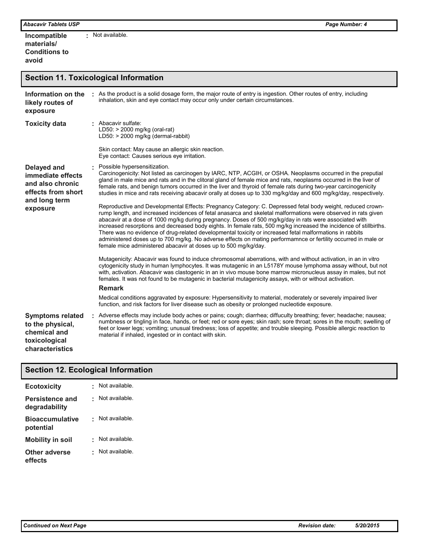**Incompatible materials/ Conditions to avoid :** Not available.

## **Section 11. Toxicological Information**

| Information on the<br>likely routes of<br>exposure                                              | As the product is a solid dosage form, the major route of entry is ingestion. Other routes of entry, including<br>inhalation, skin and eye contact may occur only under certain circumstances.                                                                                                                                                                                                                                                                                                                                                                                                                                                                                                                                                                |
|-------------------------------------------------------------------------------------------------|---------------------------------------------------------------------------------------------------------------------------------------------------------------------------------------------------------------------------------------------------------------------------------------------------------------------------------------------------------------------------------------------------------------------------------------------------------------------------------------------------------------------------------------------------------------------------------------------------------------------------------------------------------------------------------------------------------------------------------------------------------------|
| <b>Toxicity data</b>                                                                            | : Abacavir sulfate:<br>LD50: > 2000 mg/kg (oral-rat)<br>$LD50:$ > 2000 mg/kg (dermal-rabbit)                                                                                                                                                                                                                                                                                                                                                                                                                                                                                                                                                                                                                                                                  |
|                                                                                                 | Skin contact: May cause an allergic skin reaction.<br>Eye contact: Causes serious eye irritation.                                                                                                                                                                                                                                                                                                                                                                                                                                                                                                                                                                                                                                                             |
| <b>Delayed and</b><br>immediate effects<br>and also chronic<br>effects from short               | Possible hypersensitization.<br>Carcinogenicity: Not listed as carcinogen by IARC, NTP, ACGIH, or OSHA. Neoplasms occurred in the preputial<br>gland in male mice and rats and in the clitoral gland of female mice and rats, neoplasms occurred in the liver of<br>female rats, and benign tumors occurred in the liver and thyroid of female rats during two-year carcinogenicity<br>studies in mice and rats receiving abacavir orally at doses up to 330 mg/kg/day and 600 mg/kg/day, respectively.                                                                                                                                                                                                                                                       |
| and long term<br>exposure                                                                       | Reproductive and Developmental Effects: Pregnancy Category: C. Depressed fetal body weight, reduced crown-<br>rump length, and increased incidences of fetal anasarca and skeletal malformations were observed in rats given<br>abacavir at a dose of 1000 mg/kg during pregnancy. Doses of 500 mg/kg/day in rats were associated with<br>increased resorptions and decreased body eights. In female rats, 500 mg/kg increased the incidence of stillbirths.<br>There was no evidence of drug-related developmental toxicity or increased fetal malformations in rabbits<br>administered doses up to 700 mg/kg. No adverse effects on mating performamnce or fertility occurred in male or<br>female mice administered abacavir at doses up to 500 mg/kg/day. |
|                                                                                                 | Mutagenicity: Abacavir was found to induce chromosomal aberrations, with and without activation, in an in vitro<br>cytogenicity study in human lymphocytes. It was mutagenic in an L5178Y mouse lymphoma assay without, but not<br>with, activation. Abacavir was clastogenic in an in vivo mouse bone marrow micronucleus assay in males, but not<br>females. It was not found to be mutagenic in bacterial mutagenicity assays, with or without activation.                                                                                                                                                                                                                                                                                                 |
|                                                                                                 | <b>Remark</b>                                                                                                                                                                                                                                                                                                                                                                                                                                                                                                                                                                                                                                                                                                                                                 |
|                                                                                                 | Medical conditions aggravated by exposure: Hypersensitivity to material, moderately or severely impaired liver<br>function, and risk factors for liver disease such as obesity or prolonged nucleotide exposure.                                                                                                                                                                                                                                                                                                                                                                                                                                                                                                                                              |
| <b>Symptoms related</b><br>to the physical,<br>chemical and<br>toxicological<br>characteristics | . Adverse effects may include body aches or pains; cough; diarrhea; diffuculty breathing; fever; headache; nausea;<br>numbness or tingling in face, hands, or feet; red or sore eyes; skin rash; sore throat; sores in the mouth; swelling of<br>feet or lower legs; vomiting; unusual tiredness; loss of appetite; and trouble sleeping. Possible allergic reaction to<br>material if inhaled, ingested or in contact with skin.                                                                                                                                                                                                                                                                                                                             |

|  |  | <b>Section 12. Ecological Information</b> |
|--|--|-------------------------------------------|
|  |  |                                           |

| <b>Ecotoxicity</b>                      | Not available. |
|-----------------------------------------|----------------|
| <b>Persistence and</b><br>degradability | Not available. |
| <b>Bioaccumulative</b><br>potential     | Not available. |
| <b>Mobility in soil</b>                 | Not available. |
| Other adverse<br>effects                | Not available. |